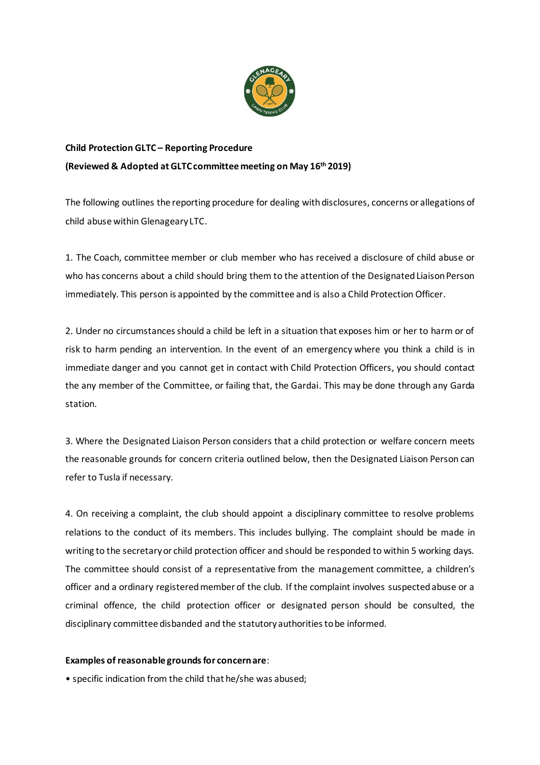

## **Child Protection GLTC – Reporting Procedure (Reviewed & Adopted at GLTC committee meeting on May 16 th 2019)**

The following outlines the reporting procedure for dealing with disclosures, concerns or allegations of child abuse within Glenageary LTC.

1. The Coach, committee member or club member who has received a disclosure of child abuse or who has concerns about a child should bring them to the attention of the Designated Liaison Person immediately. This person is appointed by the committee and is also a Child Protection Officer.

2. Under no circumstances should a child be left in a situation that exposes him or her to harm or of risk to harm pending an intervention. In the event of an emergency where you think a child is in immediate danger and you cannot get in contact with Child Protection Officers, you should contact the any member of the Committee, or failing that, the Gardai. This may be done through any Garda station.

3. Where the Designated Liaison Person considers that a child protection or welfare concern meets the reasonable grounds for concern criteria outlined below, then the Designated Liaison Person can refer to Tusla if necessary.

4. On receiving a complaint, the club should appoint a disciplinary committee to resolve problems relations to the conduct of its members. This includes bullying. The complaint should be made in writing to the secretary or child protection officer and should be responded to within 5 working days. The committee should consist of a representative from the management committee, a children's officer and a ordinary registered member of the club. If the complaint involves suspected abuse or a criminal offence, the child protection officer or designated person should be consulted, the disciplinary committee disbanded and the statutory authorities to be informed.

## **Examples of reasonable grounds for concern are**:

• specific indication from the child that he/she was abused;